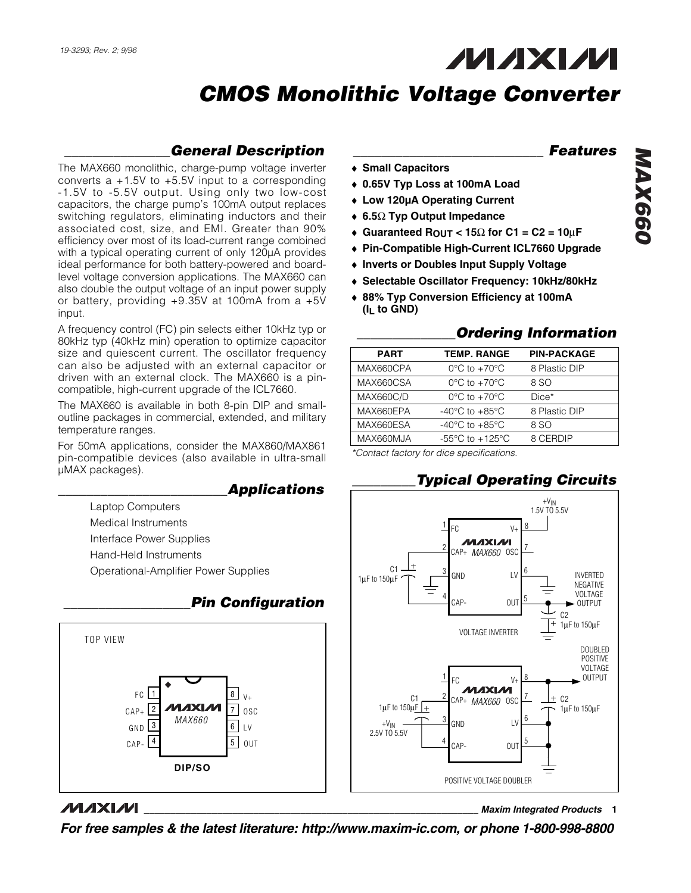## **MAXM**

## *CMOS Monolithic Voltage Converter*

#### *\_\_\_\_\_\_\_\_\_\_\_\_\_\_\_General Description*

The MAX660 monolithic, charge-pump voltage inverter converts a +1.5V to +5.5V input to a corresponding -1.5V to -5.5V output. Using only two low-cost capacitors, the charge pump's 100mA output replaces switching regulators, eliminating inductors and their associated cost, size, and EMI. Greater than 90% efficiency over most of its load-current range combined with a typical operating current of only 120µA provides ideal performance for both battery-powered and boardlevel voltage conversion applications. The MAX660 can also double the output voltage of an input power supply or battery, providing +9.35V at 100mA from a +5V input.

A frequency control (FC) pin selects either 10kHz typ or 80kHz typ (40kHz min) operation to optimize capacitor size and quiescent current. The oscillator frequency can also be adjusted with an external capacitor or driven with an external clock. The MAX660 is a pincompatible, high-current upgrade of the ICL7660.

The MAX660 is available in both 8-pin DIP and smalloutline packages in commercial, extended, and military temperature ranges.

For 50mA applications, consider the MAX860/MAX861 pin-compatible devices (also available in ultra-small µMAX packages).

#### *\_\_\_\_\_\_\_\_\_\_\_\_\_\_\_\_\_\_\_\_\_\_\_\_Applications*

- Laptop Computers
- Medical Instruments
- Interface Power Supplies
- Hand-Held Instruments
- Operational-Amplifier Power Supplies



#### *\_\_\_\_\_\_\_\_\_\_\_\_\_\_\_\_\_\_Pin Configuration*

#### **MAXM**

*For free samples & the latest literature: http://www.maxim-ic.com, or phone 1-800-998-8800*

#### *\_\_\_\_\_\_\_\_\_\_\_\_\_\_\_\_\_\_\_\_\_\_\_\_\_\_\_ Features*

- ♦ **Small Capacitors**
- ♦ **0.65V Typ Loss at 100mA Load**
- ♦ **Low 120µA Operating Current**
- ♦ **6.5**Ω **Typ Output Impedance**
- ♦ **Guaranteed ROUT < 15**Ω **for C1 = C2 = 10**µ**F**
- ♦ **Pin-Compatible High-Current ICL7660 Upgrade**
- ♦ **Inverts or Doubles Input Supply Voltage**
- ♦ **Selectable Oscillator Frequency: 10kHz/80kHz**
- ♦ **88% Typ Conversion Efficiency at 100mA (IL to GND)**

#### *\_\_\_\_\_\_\_\_\_\_\_\_\_\_Ordering Information*

*\_\_\_\_\_\_\_\_\_Typical Operating Circuits*

| <b>PART</b>      | <b>TEMP. RANGE</b>                                    | <b>PIN-PACKAGE</b> |
|------------------|-------------------------------------------------------|--------------------|
| MAX660CPA        | $0^{\circ}$ C to $+70^{\circ}$ C                      | 8 Plastic DIP      |
| MAX660CSA        | $0^{\circ}$ C to $+70^{\circ}$ C                      | 8 SO               |
| <b>MAX660C/D</b> | $0^{\circ}$ C to $+70^{\circ}$ C                      | Dice*              |
| MAX660EPA        | -40 $^{\circ}$ C to +85 $^{\circ}$ C                  | 8 Plastic DIP      |
| MAX660ESA        | -40 $^{\circ}$ C to +85 $^{\circ}$ C                  | 8 SO               |
| MAX660MJA        | -55 $\mathrm{^{\circ}C}$ to +125 $\mathrm{^{\circ}C}$ | 8 CERDIP           |

*\*Contact factory for dice specifications.*



#### **\_\_\_\_\_\_\_\_\_\_\_\_\_\_\_\_\_\_\_\_\_\_\_\_\_\_\_\_\_\_\_\_\_\_\_\_\_\_\_\_\_\_\_\_\_\_\_\_\_\_\_\_\_\_\_\_\_\_\_\_\_\_\_\_** *Maxim Integrated Products* **1**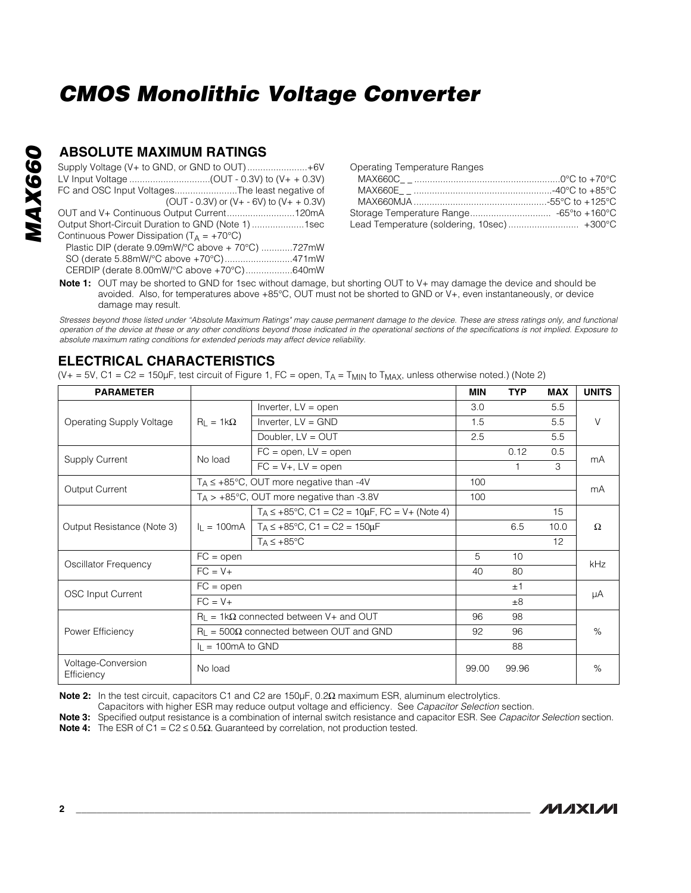#### **ABSOLUTE MAXIMUM RATINGS**

| Supply Voltage (V+ to GND, or GND to OUT)+6V          |
|-------------------------------------------------------|
|                                                       |
| FC and OSC Input VoltagesThe least negative of        |
| (OUT - 0.3V) or $(V + -6V)$ to $(V + + 0.3V)$         |
| OUT and V+ Continuous Output Current120mA             |
| Output Short-Circuit Duration to GND (Note 1) 1sec    |
| Continuous Power Dissipation ( $T_A = +70^{\circ}C$ ) |
| Plastic DIP (derate 9.09mW/°C above + 70°C) 727mW     |
| SO (derate 5.88mW/°C above +70°C)471mW                |
| CERDIP (derate 8.00mW/°C above +70°C)640mW            |

Operating Temperature Ranges

| Lead Temperature (soldering, 10sec) +300°C |  |
|--------------------------------------------|--|

**Note 1:** OUT may be shorted to GND for 1sec without damage, but shorting OUT to V+ may damage the device and should be avoided. Also, for temperatures above +85°C, OUT must not be shorted to GND or V+, even instantaneously, or device damage may result.

*Stresses beyond those listed under "Absolute Maximum Ratings" may cause permanent damage to the device. These are stress ratings only, and functional operation of the device at these or any other conditions beyond those indicated in the operational sections of the specifications is not implied. Exposure to absolute maximum rating conditions for extended periods may affect device reliability.*

#### **ELECTRICAL CHARACTERISTICS**

(V+ = 5V, C1 = C2 = 150µF, test circuit of Figure 1, FC = open,  $T_A = T_{MIN}$  to  $T_{MAX}$ , unless otherwise noted.) (Note 2)

| <b>PARAMETER</b>                 |                                                      |                                                                                      | <b>MIN</b> | <b>TYP</b> | <b>MAX</b> | <b>UNITS</b> |  |
|----------------------------------|------------------------------------------------------|--------------------------------------------------------------------------------------|------------|------------|------------|--------------|--|
|                                  |                                                      | Inverter, $LV = open$                                                                | 3.0        |            | 5.5        |              |  |
| Operating Supply Voltage         | $R_1 = 1k\Omega$                                     | Inverter, $LV = GND$                                                                 | 1.5        |            | 5.5        | V            |  |
|                                  |                                                      | Doubler, $LV = OUT$                                                                  | 2.5        |            | 5.5        |              |  |
|                                  | No load                                              | $FC = open, LV = open$                                                               |            | 0.12       | 0.5        |              |  |
| <b>Supply Current</b>            |                                                      | $FC = V+$ , $LV = open$                                                              |            |            | 3          | mA           |  |
| Output Current                   | $T_A \leq +85^{\circ}C$ , OUT more negative than -4V |                                                                                      | 100        |            |            | mA           |  |
|                                  | $T_A > +85^{\circ}$ C, OUT more negative than -3.8V  |                                                                                      |            |            |            |              |  |
|                                  |                                                      | $T_A \leq +85^{\circ}$ C, C1 = C2 = 10µF, FC = V+ (Note 4)                           |            |            | 15         |              |  |
| Output Resistance (Note 3)       |                                                      | $I_L = 100 \text{mA}$   T <sub>A</sub> $\leq +85^{\circ} \text{C}$ , C1 = C2 = 150µF |            | 6.5        | 10.0       | $\Omega$     |  |
|                                  |                                                      | $T_A \leq +85^{\circ}$ C                                                             |            |            | 12         |              |  |
| Oscillator Frequency             | $FC = open$                                          |                                                                                      | 5          | 10         |            | kHz          |  |
|                                  | $FC = V +$                                           |                                                                                      | 40         | 80         |            |              |  |
| <b>OSC Input Current</b>         | $FC = open$                                          |                                                                                      |            | ±1         |            |              |  |
|                                  | $FC = V +$                                           |                                                                                      |            | ±8         |            | μA           |  |
|                                  |                                                      | $R_1 = 1k\Omega$ connected between V+ and OUT                                        | 96         | 98         |            |              |  |
| Power Efficiency                 | $R_{L}$ = 500 $\Omega$ connected between OUT and GND |                                                                                      | 92         | 96         |            | %            |  |
|                                  | $I_L = 100 \text{mA}$ to GND                         |                                                                                      |            | 88         |            |              |  |
| Voltage-Conversion<br>Efficiency | No load                                              |                                                                                      | 99.00      | 99.96      |            | %            |  |

**Note 2:** In the test circuit, capacitors C1 and C2 are 150µF, 0.2Ω maximum ESR, aluminum electrolytics.

Capacitors with higher ESR may reduce output voltage and efficiency. See *Capacitor Selection* section.

**Note 3:** Specified output resistance is a combination of internal switch resistance and capacitor ESR. See *Capacitor Selection* section.

**Note 4:** The ESR of C1 =  $C2 \le 0.5\Omega$ . Guaranteed by correlation, not production tested.

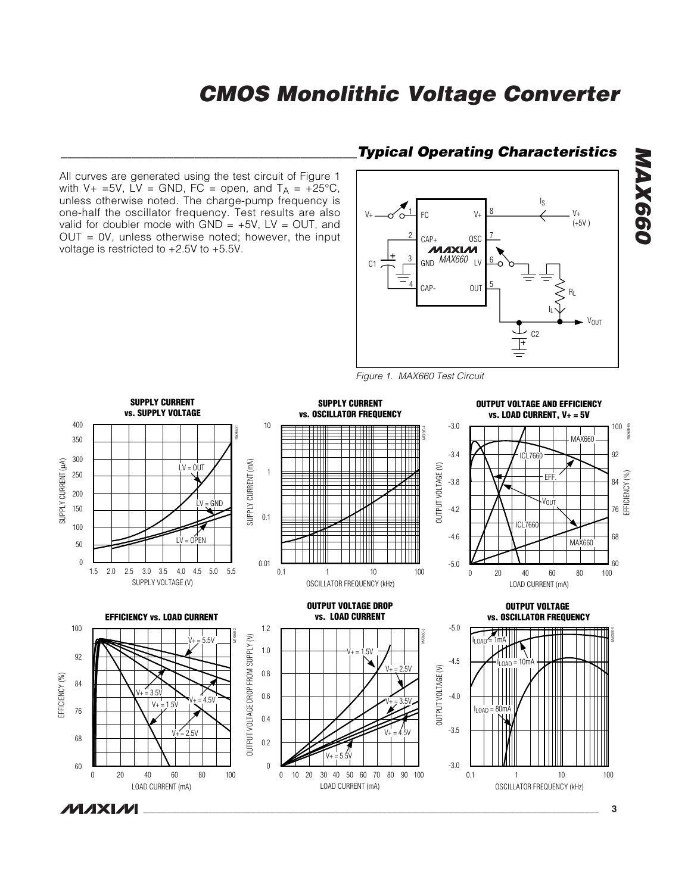All curves are generated using the test circuit of Figure 1 with V+ =5V, LV = GND, FC = open, and  $T_A = +25^{\circ}C$ , unless otherwise noted. The charge-pump frequency is one-half the oscillator frequency. Test results are also valid for doubler mode with  $GND = +5V$ , LV = OUT, and OUT = 0V, unless otherwise noted; however, the input voltage is restricted to +2.5V to +5.5V.

#### *\_\_\_\_\_\_\_\_\_\_\_\_\_\_\_\_\_\_\_\_\_\_\_\_\_\_\_\_\_\_\_\_\_\_\_\_\_\_\_\_\_\_Typical Operating Characteristics*



*Figure 1. MAX660 Test Circuit*



*MAX660*

**MAX660**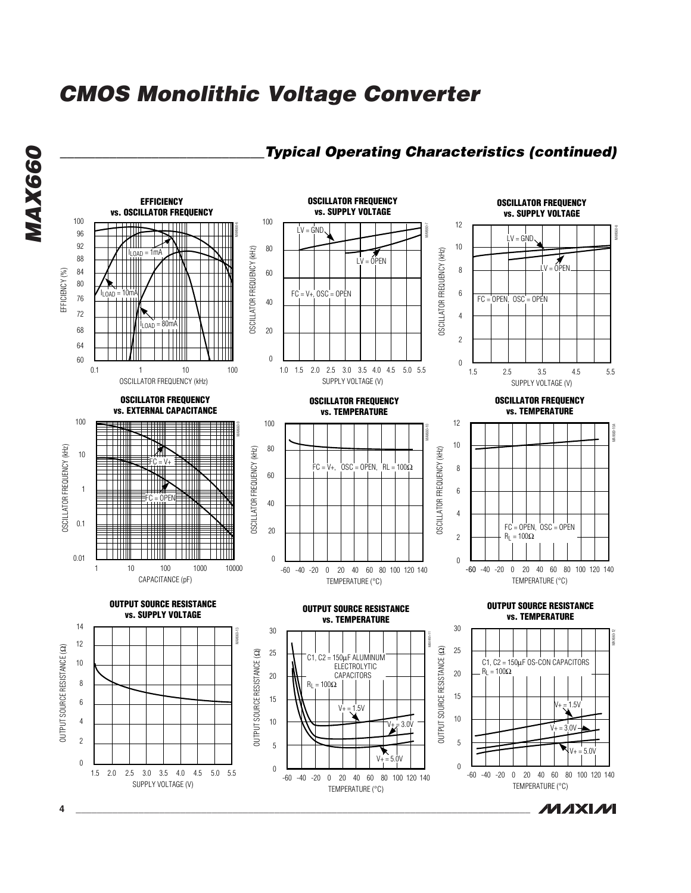

**MAX660** *MAX660*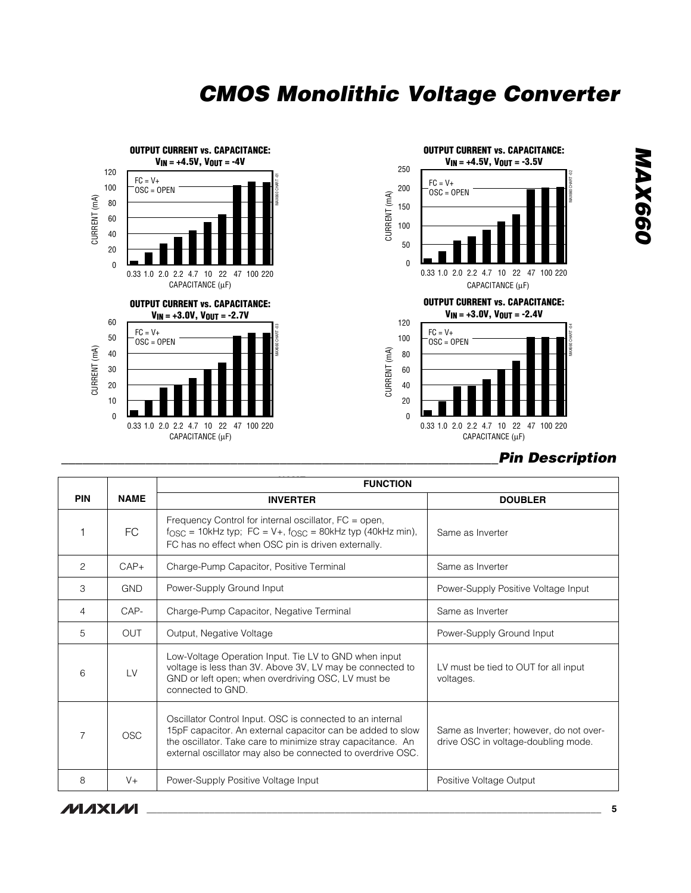

2.2 10 4.7 22 47 100 220 **V<sub>IN</sub>** = +4.5V, V<sub>OUT</sub> = -3.5V MAX660 CHART -02 0.33 1.0 2.0 CAPACITANCE (µF)  $FC = V +$  $OSC = OPEN$ **OUTPUT CURRENT vs. CAPACITANCE: VIN = +3.0V, VOUT = -2.4V** MAX660 CHART -04  $FC = V +$ OSC = OPEN

CAPACITANCE (µF)

| <b>Pin Description</b> |
|------------------------|
|                        |

|            |             | <b>FUNCTION</b>                                                                                                                                                                                                                                       |                                                                                |  |  |  |
|------------|-------------|-------------------------------------------------------------------------------------------------------------------------------------------------------------------------------------------------------------------------------------------------------|--------------------------------------------------------------------------------|--|--|--|
| <b>PIN</b> | <b>NAME</b> | <b>INVERTER</b>                                                                                                                                                                                                                                       | <b>DOUBLER</b>                                                                 |  |  |  |
|            | <b>FC</b>   | Frequency Control for internal oscillator, FC = open,<br>$f_{\text{OSC}} = 10$ kHz typ; FC = V+, $f_{\text{OSC}} = 80$ kHz typ (40kHz min),<br>FC has no effect when OSC pin is driven externally.                                                    | Same as Inverter                                                               |  |  |  |
| 2          | $CAP+$      | Charge-Pump Capacitor, Positive Terminal                                                                                                                                                                                                              | Same as Inverter                                                               |  |  |  |
| 3          | <b>GND</b>  | Power-Supply Ground Input                                                                                                                                                                                                                             | Power-Supply Positive Voltage Input                                            |  |  |  |
| 4          | CAP-        | Charge-Pump Capacitor, Negative Terminal                                                                                                                                                                                                              | Same as Inverter                                                               |  |  |  |
| 5          | OUT         | Output, Negative Voltage                                                                                                                                                                                                                              | Power-Supply Ground Input                                                      |  |  |  |
| 6          | LV          | Low-Voltage Operation Input. Tie LV to GND when input<br>voltage is less than 3V. Above 3V, LV may be connected to<br>GND or left open; when overdriving OSC, LV must be<br>connected to GND.                                                         | LV must be tied to OUT for all input<br>voltages.                              |  |  |  |
| 7          | <b>OSC</b>  | Oscillator Control Input. OSC is connected to an internal<br>15pF capacitor. An external capacitor can be added to slow<br>the oscillator. Take care to minimize stray capacitance. An<br>external oscillator may also be connected to overdrive OSC. | Same as Inverter; however, do not over-<br>drive OSC in voltage-doubling mode. |  |  |  |
| 8          | $V +$       | Power-Supply Positive Voltage Input                                                                                                                                                                                                                   | Positive Voltage Output                                                        |  |  |  |

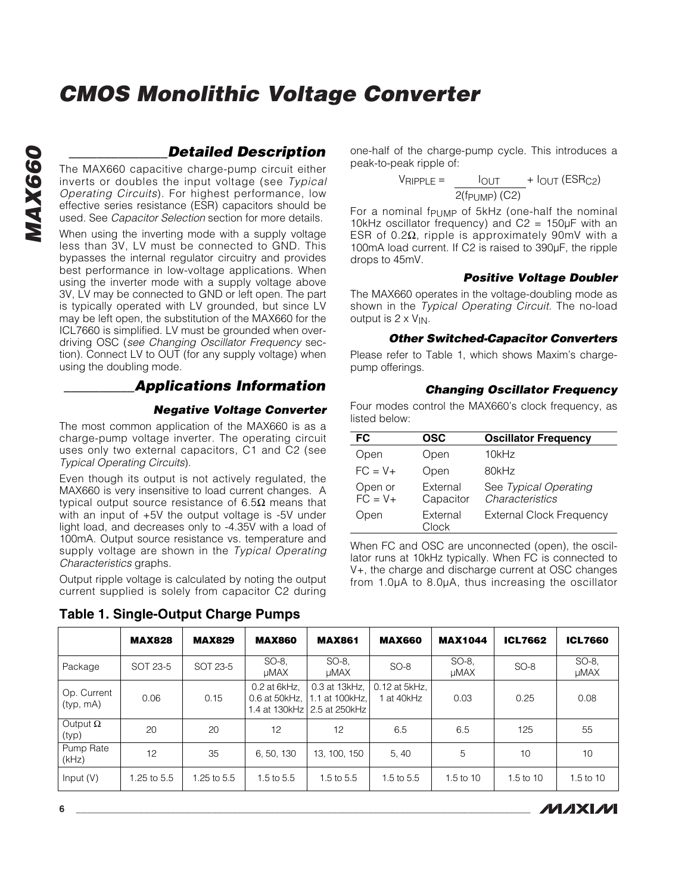#### *\_\_\_\_\_\_\_\_\_\_\_\_\_\_Detailed Description*

The MAX660 capacitive charge-pump circuit either inverts or doubles the input voltage (see *Typical Operating Circuits*). For highest performance, low effective series resistance (ESR) capacitors should be used. See *Capacitor Selection* section for more details.

When using the inverting mode with a supply voltage less than 3V, LV must be connected to GND. This bypasses the internal regulator circuitry and provides best performance in low-voltage applications. When using the inverter mode with a supply voltage above 3V, LV may be connected to GND or left open. The part is typically operated with LV grounded, but since LV may be left open, the substitution of the MAX660 for the ICL7660 is simplified. LV must be grounded when overdriving OSC (*see Changing Oscillator Frequency* section). Connect LV to OUT (for any supply voltage) when using the doubling mode.

#### *\_\_\_\_\_\_\_\_\_\_Applications Information*

#### *Negative Voltage Converter*

The most common application of the MAX660 is as a charge-pump voltage inverter. The operating circuit uses only two external capacitors, C1 and C2 (see *Typical Operating Circuits*).

Even though its output is not actively regulated, the MAX660 is very insensitive to load current changes. A typical output source resistance of 6.5Ω means that with an input of +5V the output voltage is -5V under light load, and decreases only to -4.35V with a load of 100mA. Output source resistance vs. temperature and supply voltage are shown in the *Typical Operating Characteristics* graphs.

Output ripple voltage is calculated by noting the output current supplied is solely from capacitor C2 during

**Table 1. Single-Output Charge Pumps**

one-half of the charge-pump cycle. This introduces a peak-to-peak ripple of:

$$
V_{RIPPLE} = \frac{I_{OUT}}{2(f_{PUMP}) (C2)} + I_{OUT} (ESR_{C2})
$$

For a nominal f $P$ UMP of 5kHz (one-half the nominal 10kHz oscillator frequency) and  $C2 = 150 \mu F$  with an ESR of 0.2Ω, ripple is approximately 90mV with a 100mA load current. If C2 is raised to 390µF, the ripple drops to 45mV.

#### *Positive Voltage Doubler*

The MAX660 operates in the voltage-doubling mode as shown in the *Typical Operating Circuit.* The no-load output is  $2 \times V_{IN}$ .

#### *Other Switched-Capacitor Converters*

Please refer to Table 1, which shows Maxim's chargepump offerings.

#### *Changing Oscillator Frequency*

Four modes control the MAX660's clock frequency, as listed below:

| FC                    | OSC                   | <b>Oscillator Frequency</b>              |
|-----------------------|-----------------------|------------------------------------------|
| Open                  | Open                  | 10kHz                                    |
| $FC = V +$            | Open                  | 80kHz                                    |
| Open or<br>$FC = V +$ | External<br>Capacitor | See Typical Operating<br>Characteristics |
| Open                  | External<br>Clock     | <b>External Clock Frequency</b>          |

When FC and OSC are unconnected (open), the oscillator runs at 10kHz typically. When FC is connected to V+, the charge and discharge current at OSC changes from 1.0µA to 8.0µA, thus increasing the oscillator

|                          | <b>MAX828</b> | <b>MAX829</b> | <b>MAX860</b>                 | <b>MAX861</b>                                                    | <b>MAX660</b>             | <b>MAX1044</b> | ICL7662       | <b>ICL7660</b>       |
|--------------------------|---------------|---------------|-------------------------------|------------------------------------------------------------------|---------------------------|----------------|---------------|----------------------|
| Package                  | SOT 23-5      | SOT 23-5      | SO-8.<br>uMAX                 | SO-8.<br>uMAX                                                    | $SO-8$                    | SO-8.<br>uMAX  | $SO-8$        | SO-8.<br><b>µMAX</b> |
| Op. Current<br>(typ, mA) | 0.06          | 0.15          | 0.2 at 6kHz,<br>0.6 at 50kHz, | 0.3 at 13kHz,<br>1.1 at 100kHz.<br>1.4 at 130kHz   2.5 at 250kHz | 0.12 at 5kHz,<br>at 40kHz | 0.03           | 0.25          | 0.08                 |
| Output $\Omega$<br>(typ) | 20            | 20            | 12                            | 12                                                               | 6.5                       | 6.5            | 125           | 55                   |
| Pump Rate<br>(kHz)       | 12            | 35            | 6, 50, 130                    | 13, 100, 150                                                     | 5, 40                     | 5              | 10            | 10                   |
| Input $(V)$              | 1.25 to 5.5   | 1.25 to 5.5   | 1.5 to $5.5$                  | 1.5 to 5.5                                                       | 1.5 to $5.5$              | 1.5 to 10      | $1.5$ to $10$ | 1.5 to 10            |

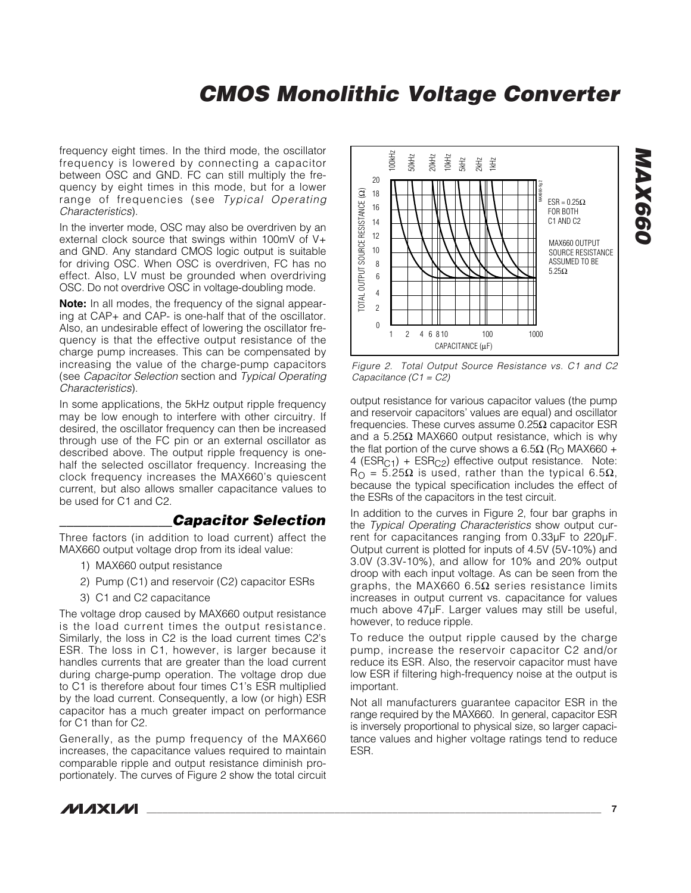frequency eight times. In the third mode, the oscillator frequency is lowered by connecting a capacitor between OSC and GND. FC can still multiply the frequency by eight times in this mode, but for a lower range of frequencies (see *Typical Operating Characteristics*).

In the inverter mode, OSC may also be overdriven by an external clock source that swings within 100mV of V+ and GND. Any standard CMOS logic output is suitable for driving OSC. When OSC is overdriven, FC has no effect. Also, LV must be grounded when overdriving OSC. Do not overdrive OSC in voltage-doubling mode.

**Note:** In all modes, the frequency of the signal appearing at CAP+ and CAP- is one-half that of the oscillator. Also, an undesirable effect of lowering the oscillator frequency is that the effective output resistance of the charge pump increases. This can be compensated by increasing the value of the charge-pump capacitors (see *Capacitor Selection* section and *Typical Operating Characteristics*).

In some applications, the 5kHz output ripple frequency may be low enough to interfere with other circuitry. If desired, the oscillator frequency can then be increased through use of the FC pin or an external oscillator as described above. The output ripple frequency is onehalf the selected oscillator frequency. Increasing the clock frequency increases the MAX660's quiescent current, but also allows smaller capacitance values to be used for C1 and C2.

#### *\_\_\_\_\_\_\_\_\_\_\_\_\_\_\_\_Capacitor Selection*

Three factors (in addition to load current) affect the MAX660 output voltage drop from its ideal value:

- 1) MAX660 output resistance
- 2) Pump (C1) and reservoir (C2) capacitor ESRs
- 3) C1 and C2 capacitance

The voltage drop caused by MAX660 output resistance is the load current times the output resistance. Similarly, the loss in C2 is the load current times C2's ESR. The loss in C1, however, is larger because it handles currents that are greater than the load current during charge-pump operation. The voltage drop due to C1 is therefore about four times C1's ESR multiplied by the load current. Consequently, a low (or high) ESR capacitor has a much greater impact on performance for C1 than for C2.

Generally, as the pump frequency of the MAX660 increases, the capacitance values required to maintain comparable ripple and output resistance diminish proportionately. The curves of Figure 2 show the total circuit



*Figure 2. Total Output Source Resistance vs. C1 and C2 Capacitance (C1 = C2)*

output resistance for various capacitor values (the pump and reservoir capacitors' values are equal) and oscillator frequencies. These curves assume 0.25Ω capacitor ESR and a 5.25Ω MAX660 output resistance, which is why the flat portion of the curve shows a 6.5Ω (R<sub>O</sub> MAX660 + 4 ( $ESR<sub>C1</sub>$ ) +  $ESR<sub>C2</sub>$ ) effective output resistance. Note:  $R<sub>Ω</sub> = 5.25Ω$  is used, rather than the typical 6.5Ω, because the typical specification includes the effect of the ESRs of the capacitors in the test circuit.

In addition to the curves in Figure 2, four bar graphs in the *Typical Operating Characteristics* show output current for capacitances ranging from 0.33µF to 220µF. Output current is plotted for inputs of 4.5V (5V-10%) and 3.0V (3.3V-10%), and allow for 10% and 20% output droop with each input voltage. As can be seen from the graphs, the MAX660 6.5Ω series resistance limits increases in output current vs. capacitance for values much above 47µF. Larger values may still be useful, however, to reduce ripple.

To reduce the output ripple caused by the charge pump, increase the reservoir capacitor C2 and/or reduce its ESR. Also, the reservoir capacitor must have low ESR if filtering high-frequency noise at the output is important.

Not all manufacturers guarantee capacitor ESR in the range required by the MAX660. In general, capacitor ESR is inversely proportional to physical size, so larger capacitance values and higher voltage ratings tend to reduce ESR.



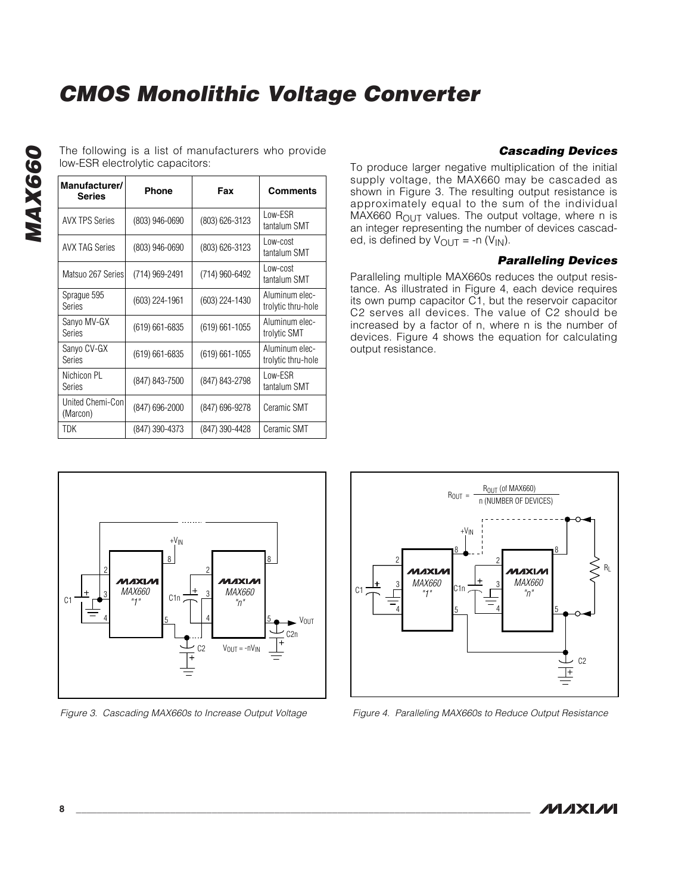The following is a list of manufacturers who provide low-ESR electrolytic capacitors:

| Manufacturer/<br><b>Series</b> | <b>Phone</b>       | Fax                | <b>Comments</b>                      |
|--------------------------------|--------------------|--------------------|--------------------------------------|
| <b>AVX TPS Series</b>          | (803) 946-0690     | (803) 626-3123     | Low-ESR<br>tantalum SMT              |
| <b>AVX TAG Series</b>          | $(803)$ 946-0690   | (803) 626-3123     | Low-cost<br>tantalum SMT             |
| Matsuo 267 Series              | (714) 969-2491     | (714) 960-6492     | Low-cost<br>tantalum SMT             |
| Sprague 595<br>Series          | $(603)$ 224-1961   | $(603)$ 224-1430   | Aluminum elec-<br>trolytic thru-hole |
| Sanyo MV-GX<br>Series          | $(619) 661 - 6835$ | $(619) 661 - 1055$ | Aluminum elec-<br>trolytic SMT       |
| Sanyo CV-GX<br>Series          | $(619) 661 - 6835$ | $(619) 661 - 1055$ | Aluminum elec-<br>trolytic thru-hole |
| Nichicon PL<br>Series          | (847) 843-7500     | (847) 843-2798     | Low-ESR<br>tantalum SMT              |
| United Chemi-Conl<br>(Marcon)  | (847) 696-2000     | (847) 696-9278     | Ceramic SMT                          |
| TDK                            | (847) 390-4373     | (847) 390-4428     | Ceramic SMT                          |

*Cascading Devices*

To produce larger negative multiplication of the initial supply voltage, the MAX660 may be cascaded as shown in Figure 3. The resulting output resistance is approximately equal to the sum of the individual MAX660  $R<sub>OUT</sub>$  values. The output voltage, where n is an integer representing the number of devices cascaded, is defined by  $V_{\text{OUT}} = -n (V_{\text{IN}})$ .

#### *Paralleling Devices*

Paralleling multiple MAX660s reduces the output resistance. As illustrated in Figure 4, each device requires its own pump capacitor C1, but the reservoir capacitor C2 serves all devices. The value of C2 should be increased by a factor of n, where n is the number of devices. Figure 4 shows the equation for calculating output resistance.



*Figure 3. Cascading MAX660s to Increase Output Voltage*



*Figure 4. Paralleling MAX660s to Reduce Output Resistance*

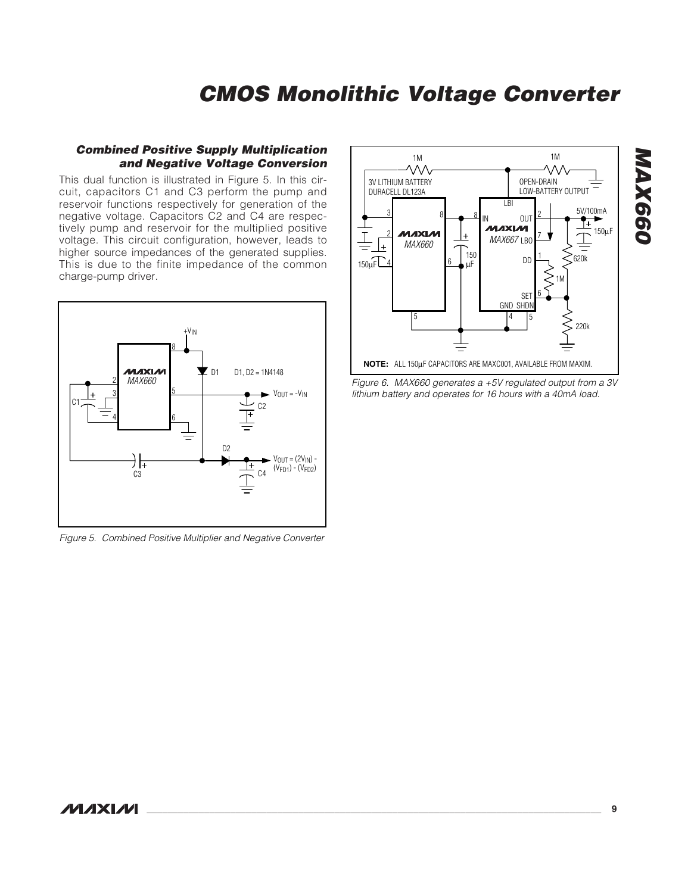#### *Combined Positive Supply Multiplication and Negative Voltage Conversion*

This dual function is illustrated in Figure 5. In this circuit, capacitors C1 and C3 perform the pump and reservoir functions respectively for generation of the negative voltage. Capacitors C2 and C4 are respectively pump and reservoir for the multiplied positive voltage. This circuit configuration, however, leads to higher source impedances of the generated supplies. This is due to the finite impedance of the common charge-pump driver.



*Figure 5. Combined Positive Multiplier and Negative Converter*



*MAX660 Figure 6. MAX660 generates a +5V regulated output from a 3V lithium battery and operates for 16 hours with a 40mA load.*

#### *MAXM*

# *MAX660* MAX660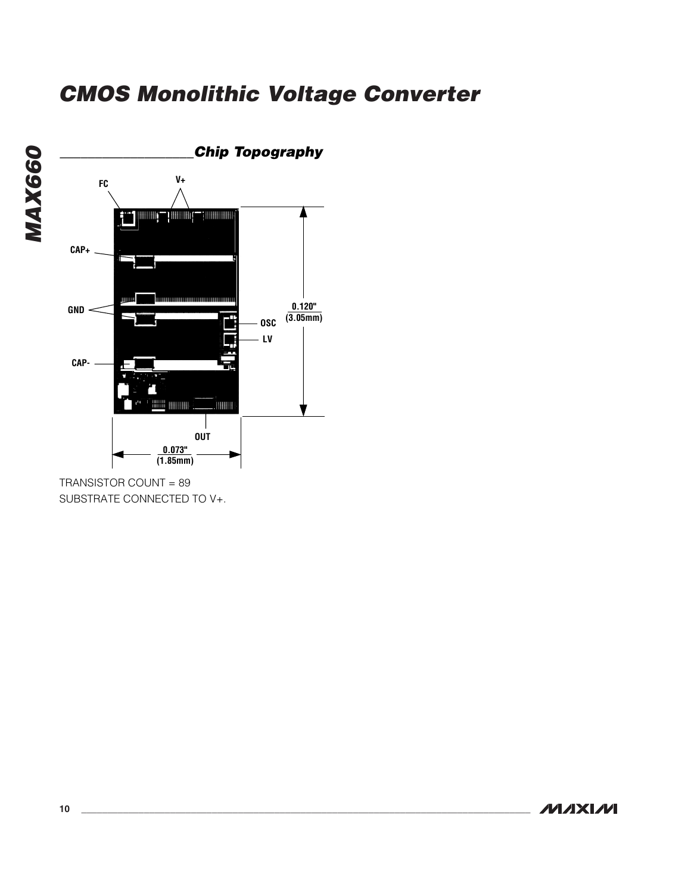

TRANSISTOR COUNT = 89 SUBSTRATE CONNECTED TO V+.



*MAX660*

**MAX660**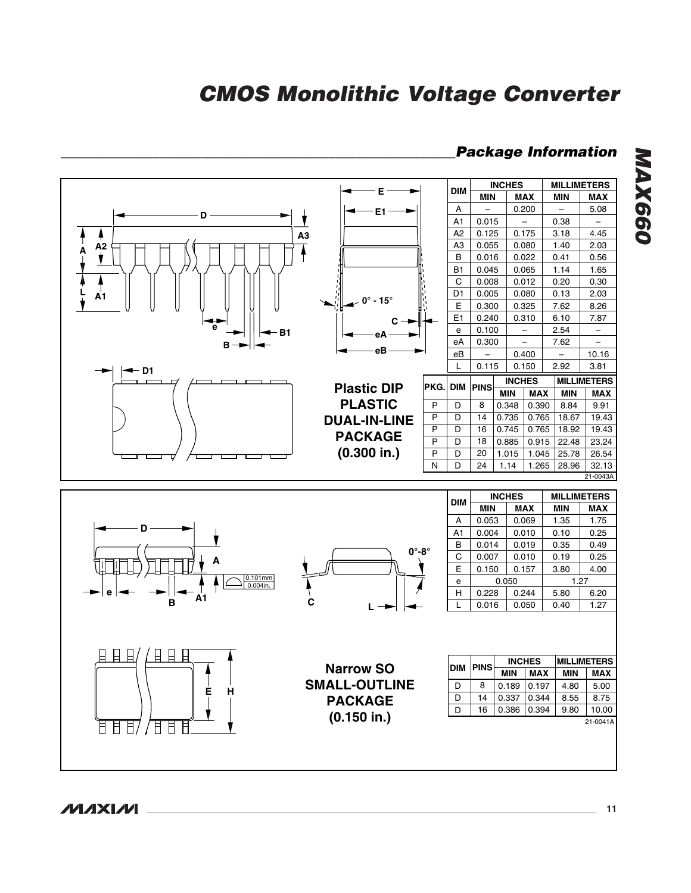#### *\_\_\_\_\_\_\_\_\_\_\_\_\_\_\_\_\_\_\_\_\_\_\_\_\_\_\_\_\_\_\_\_\_\_\_\_\_\_\_\_\_\_\_\_\_\_\_\_\_\_\_\_\_\_\_\_Package Information*



*MAX660* MAX660